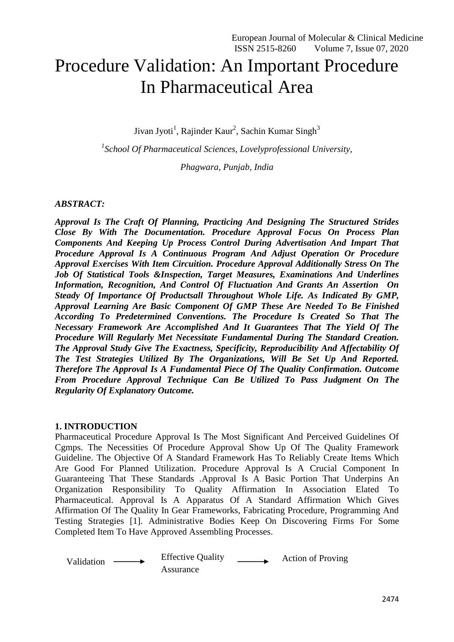# Procedure Validation: An Important Procedure In Pharmaceutical Area

Jivan Jyoti<sup>1</sup>, Rajinder Kaur<sup>2</sup>, Sachin Kumar Singh<sup>3</sup>

*1 School Of Pharmaceutical Sciences, Lovelyprofessional University,*

*Phagwara, Punjab, India*

#### *ABSTRACT:*

*Approval Is The Craft Of Planning, Practicing And Designing The Structured Strides Close By With The Documentation. Procedure Approval Focus On Process Plan Components And Keeping Up Process Control During Advertisation And Impart That Procedure Approval Is A Continuous Program And Adjust Operation Or Procedure Approval Exercises With Item Circuition. Procedure Approval Additionally Stress On The Job Of Statistical Tools &Inspection, Target Measures, Examinations And Underlines Information, Recognition, And Control Of Fluctuation And Grants An Assertion On Steady Of Importance Of Productsall Throughout Whole Life. As Indicated By GMP, Approval Learning Are Basic Component Of GMP These Are Needed To Be Finished According To Predetermined Conventions. The Procedure Is Created So That The Necessary Framework Are Accomplished And It Guarantees That The Yield Of The Procedure Will Regularly Met Necessitate Fundamental During The Standard Creation. The Approval Study Give The Exactness, Specificity, Reproducibility And Affectability Of The Test Strategies Utilized By The Organizations, Will Be Set Up And Reported. Therefore The Approval Is A Fundamental Piece Of The Quality Confirmation. Outcome From Procedure Approval Technique Can Be Utilized To Pass Judgment On The Regularity Of Explanatory Outcome.*

#### **1. INTRODUCTION**

Pharmaceutical Procedure Approval Is The Most Significant And Perceived Guidelines Of Cgmps. The Necessities Of Procedure Approval Show Up Of The Quality Framework Guideline. The Objective Of A Standard Framework Has To Reliably Create Items Which Are Good For Planned Utilization. Procedure Approval Is A Crucial Component In Guaranteeing That These Standards .Approval Is A Basic Portion That Underpins An Organization Responsibility To Quality Affirmation In Association Elated To Pharmaceutical. Approval Is A Apparatus Of A Standard Affirmation Which Gives Affirmation Of The Quality In Gear Frameworks, Fabricating Procedure, Programming And Testing Strategies [1]. Administrative Bodies Keep On Discovering Firms For Some Completed Item To Have Approved Assembling Processes.

Validation — Fifective Quality **Assurance** Action of Proving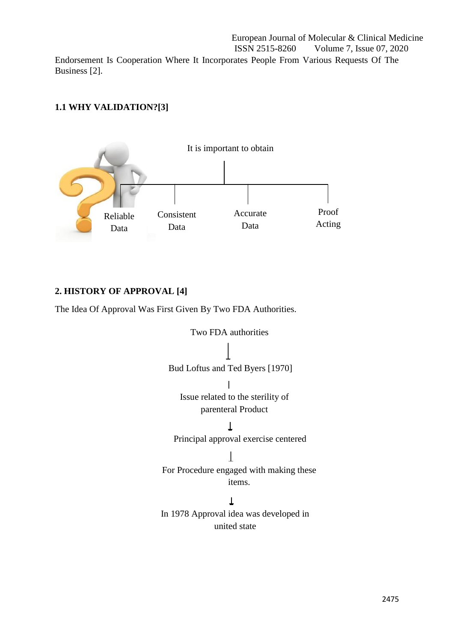European Journal of Molecular & Clinical Medicine ISSN 2515-8260 Volume 7, Issue 07, 2020 Endorsement Is Cooperation Where It Incorporates People From Various Requests Of The Business [2].

# **1.1 WHY VALIDATION?[3]**



# **2. HISTORY OF APPROVAL [4]**

The Idea Of Approval Was First Given By Two FDA Authorities.

Two FDA authorities Bud Loftus and Ted Byers [1970]  $\mathbf{I}$ Issue related to the sterility of parenteral Product  $\perp$ Principal approval exercise centered For Procedure engaged with making these items.  $\downarrow$ In 1978 Approval idea was developed in united state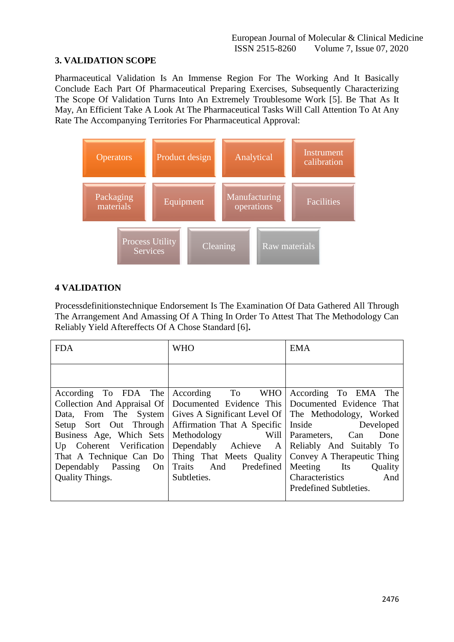# **3. VALIDATION SCOPE**

Pharmaceutical Validation Is An Immense Region For The Working And It Basically Conclude Each Part Of Pharmaceutical Preparing Exercises, Subsequently Characterizing The Scope Of Validation Turns Into An Extremely Troublesome Work [5]. Be That As It May, An Efficient Take A Look At The Pharmaceutical Tasks Will Call Attention To At Any Rate The Accompanying Territories For Pharmaceutical Approval:



## **4 VALIDATION**

Processdefinitionstechnique Endorsement Is The Examination Of Data Gathered All Through The Arrangement And Amassing Of A Thing In Order To Attest That The Methodology Can Reliably Yield Aftereffects Of A Chose Standard [6]**.**

| <b>FDA</b>                  | <b>WHO</b>                                             | <b>EMA</b>               |
|-----------------------------|--------------------------------------------------------|--------------------------|
|                             |                                                        |                          |
| According To FDA The        | According To WHO                                       | According To EMA The     |
| Collection And Appraisal Of | Documented Evidence This Documented Evidence That      |                          |
| Data, From The System       | Gives A Significant Level Of   The Methodology, Worked |                          |
| Setup Sort Out Through      | Affirmation That A Specific Inside Developed           |                          |
| Business Age, Which Sets    | Methodology Will                                       | Parameters, Can<br>Done  |
| Up Coherent Verification    | Dependably Achieve A                                   | Reliably And Suitably To |
| That A Technique Can Do     | Thing That Meets Quality   Convey A Therapeutic Thing  |                          |
| Dependably Passing<br>On    | Traits And<br>Predefined                               | Meeting Its<br>Quality   |
| <b>Quality Things.</b>      | Subtleties.                                            | Characteristics<br>And   |
|                             |                                                        | Predefined Subtleties.   |
|                             |                                                        |                          |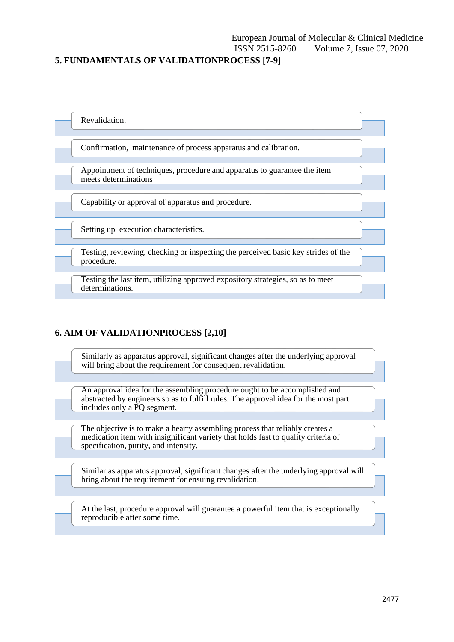#### **5. FUNDAMENTALS OF VALIDATIONPROCESS [7-9]**



## **6. AIM OF VALIDATIONPROCESS [2,10]**

Similarly as apparatus approval, significant changes after the underlying approval will bring about the requirement for consequent revalidation.

An approval idea for the assembling procedure ought to be accomplished and abstracted by engineers so as to fulfill rules. The approval idea for the most part includes only a PQ segment.

The objective is to make a hearty assembling process that reliably creates a medication item with insignificant variety that holds fast to quality criteria of specification, purity, and intensity.

Similar as apparatus approval, significant changes after the underlying approval will bring about the requirement for ensuing revalidation.

At the last, procedure approval will guarantee a powerful item that is exceptionally reproducible after some time.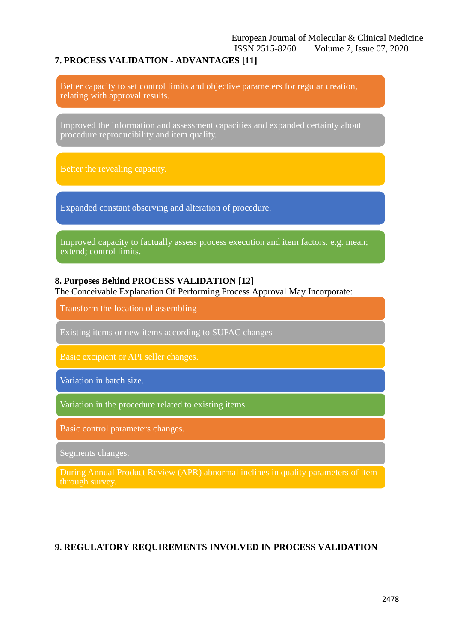## **7. PROCESS VALIDATION - ADVANTAGES [11]**

Better capacity to set control limits and objective parameters for regular creation, relating with approval results.

Improved the information and assessment capacities and expanded certainty about procedure reproducibility and item quality.

Expanded constant observing and alteration of procedure.

Improved capacity to factually assess process execution and item factors. e.g. mean; extend; control limits.

#### **8. Purposes Behind PROCESS VALIDATION [12]**

The Conceivable Explanation Of Performing Process Approval May Incorporate:

Transform the location of assembling

Existing items or new items according to SUPAC changes

Variation in batch size.

Variation in the procedure related to existing items.

Basic control parameters changes.

Segments changes.

During Annual Product Review (APR) abnormal inclines in quality parameters of item through survey.

## **9. REGULATORY REQUIREMENTS INVOLVED IN PROCESS VALIDATION**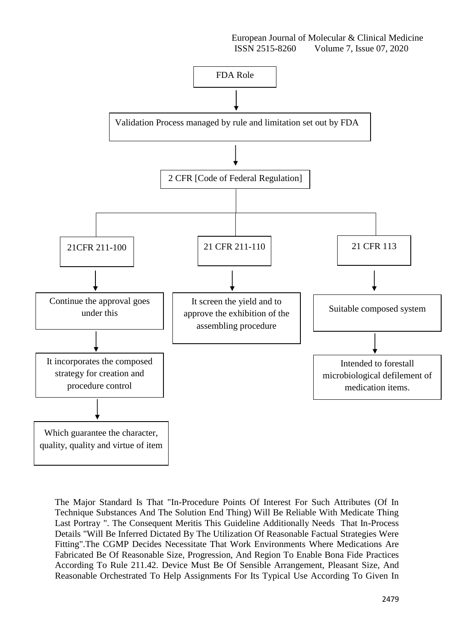

The Major Standard Is That "In-Procedure Points Of Interest For Such Attributes (Of In Technique Substances And The Solution End Thing) Will Be Reliable With Medicate Thing Last Portray ". The Consequent Meritis This Guideline Additionally Needs That In-Process Details "Will Be Inferred Dictated By The Utilization Of Reasonable Factual Strategies Were Fitting".The CGMP Decides Necessitate That Work Environments Where Medications Are Fabricated Be Of Reasonable Size, Progression, And Region To Enable Bona Fide Practices According To Rule 211.42. Device Must Be Of Sensible Arrangement, Pleasant Size, And Reasonable Orchestrated To Help Assignments For Its Typical Use According To Given In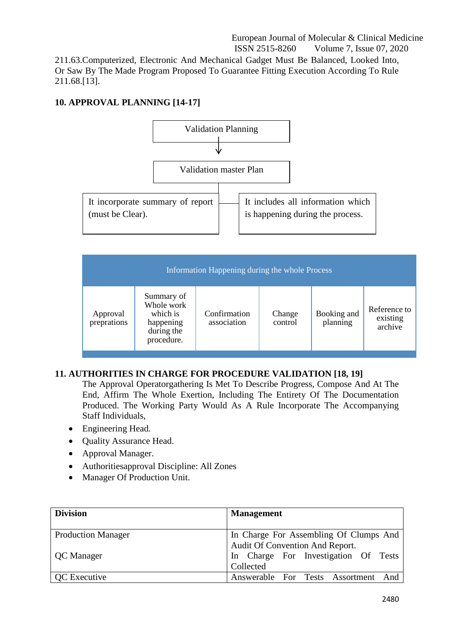211.63.Computerized, Electronic And Mechanical Gadget Must Be Balanced, Looked Into, Or Saw By The Made Program Proposed To Guarantee Fitting Execution According To Rule 211.68.[13].

# **10. APPROVAL PLANNING [14-17]**



| Information Happening during the whole Process |                                                                               |                             |                   |                         |                                     |
|------------------------------------------------|-------------------------------------------------------------------------------|-----------------------------|-------------------|-------------------------|-------------------------------------|
| Approval<br>preprations                        | Summary of<br>Whole work<br>which is<br>happening<br>during the<br>procedure. | Confirmation<br>association | Change<br>control | Booking and<br>planning | Reference to<br>existing<br>archive |

## **11. AUTHORITIES IN CHARGE FOR PROCEDURE VALIDATION [18, 19]**

The Approval Operatorgathering Is Met To Describe Progress, Compose And At The End, Affirm The Whole Exertion, Including The Entirety Of The Documentation Produced. The Working Party Would As A Rule Incorporate The Accompanying Staff Individuals,

- Engineering Head.
- Quality Assurance Head.
- Approval Manager.
- Authoritiesapproval Discipline: All Zones
- Manager Of Production Unit.

| <b>Division</b>           | <b>Management</b>                                                         |
|---------------------------|---------------------------------------------------------------------------|
| <b>Production Manager</b> | In Charge For Assembling Of Clumps And<br>Audit Of Convention And Report. |
| <b>QC</b> Manager         | In Charge For Investigation Of Tests<br>Collected                         |
| <b>QC</b> Executive       | Answerable For Tests Assortment And                                       |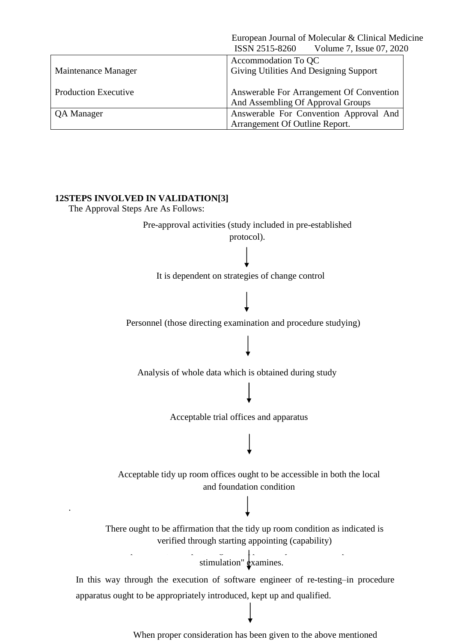|                             | European Journal of Molecular & Clinical Medicine |
|-----------------------------|---------------------------------------------------|
|                             | ISSN 2515-8260<br>Volume 7, Issue 07, 2020        |
|                             | Accommodation To QC                               |
| Maintenance Manager         | Giving Utilities And Designing Support            |
|                             |                                                   |
| <b>Production Executive</b> | Answerable For Arrangement Of Convention          |
|                             | And Assembling Of Approval Groups                 |
| QA Manager                  | Answerable For Convention Approval And            |
|                             | Arrangement Of Outline Report.                    |

**12STEPS INVOLVED IN VALIDATION[3]**

The Approval Steps Are As Follows:

.

Pre-approval activities (study included in pre-established

protocol).

It is dependent on strategies of change control

Personnel (those directing examination and procedure studying)

Analysis of whole data which is obtained during study

Acceptable trial offices and apparatus

Acceptable tidy up room offices ought to be accessible in both the local and foundation condition

There ought to be affirmation that the tidy up room condition as indicated is verified through starting appointing (capability)

The procedure, if as proved by methods for  $\mathbf{r}_i$ stimulation"  $\frac{d}{dx}$  xamines.

 $T_{\rm eff}$  to be revalidated at  $\frac{1}{\sqrt{2}}$  . The comprehensive documentation documentations of  $\frac{1}{\sqrt{2}}$ In this way through the execution of software engineer of re-testing–in procedure apparatus ought to be appropriately introduced, kept up and qualified.

When proper consideration has been given to the above mentioned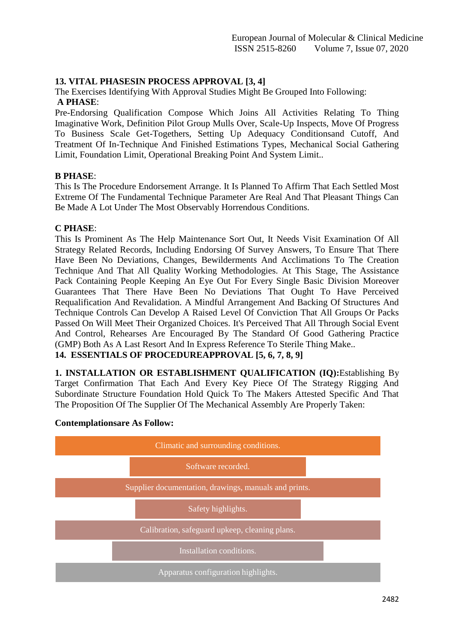#### **13. VITAL PHASESIN PROCESS APPROVAL [3, 4]**

The Exercises Identifying With Approval Studies Might Be Grouped Into Following: **A PHASE**:

Pre-Endorsing Qualification Compose Which Joins All Activities Relating To Thing Imaginative Work, Definition Pilot Group Mulls Over, Scale-Up Inspects, Move Of Progress To Business Scale Get-Togethers, Setting Up Adequacy Conditionsand Cutoff, And Treatment Of In-Technique And Finished Estimations Types, Mechanical Social Gathering Limit, Foundation Limit, Operational Breaking Point And System Limit..

#### **B PHASE**:

This Is The Procedure Endorsement Arrange. It Is Planned To Affirm That Each Settled Most Extreme Of The Fundamental Technique Parameter Are Real And That Pleasant Things Can Be Made A Lot Under The Most Observably Horrendous Conditions.

#### **C PHASE**:

This Is Prominent As The Help Maintenance Sort Out, It Needs Visit Examination Of All Strategy Related Records, Including Endorsing Of Survey Answers, To Ensure That There Have Been No Deviations, Changes, Bewilderments And Acclimations To The Creation Technique And That All Quality Working Methodologies. At This Stage, The Assistance Pack Containing People Keeping An Eye Out For Every Single Basic Division Moreover Guarantees That There Have Been No Deviations That Ought To Have Perceived Requalification And Revalidation. A Mindful Arrangement And Backing Of Structures And Technique Controls Can Develop A Raised Level Of Conviction That All Groups Or Packs Passed On Will Meet Their Organized Choices. It's Perceived That All Through Social Event And Control, Rehearses Are Encouraged By The Standard Of Good Gathering Practice (GMP) Both As A Last Resort And In Express Reference To Sterile Thing Make.. **14. ESSENTIALS OF PROCEDUREAPPROVAL [5, 6, 7, 8, 9]**

**1. INSTALLATION OR ESTABLISHMENT QUALIFICATION (IQ):**Establishing By Target Confirmation That Each And Every Key Piece Of The Strategy Rigging And Subordinate Structure Foundation Hold Quick To The Makers Attested Specific And That The Proposition Of The Supplier Of The Mechanical Assembly Are Properly Taken:



#### **Contemplationsare As Follow:**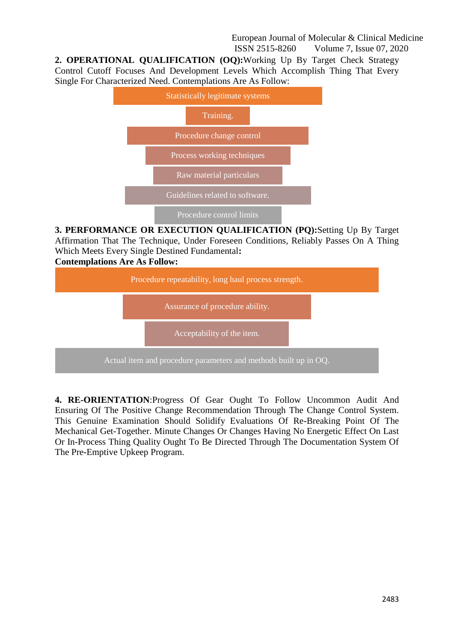**2. OPERATIONAL QUALIFICATION (OQ):**Working Up By Target Check Strategy Control Cutoff Focuses And Development Levels Which Accomplish Thing That Every Single For Characterized Need. Contemplations Are As Follow:



**3. PERFORMANCE OR EXECUTION QUALIFICATION (PQ):**Setting Up By Target Affirmation That The Technique, Under Foreseen Conditions, Reliably Passes On A Thing Which Meets Every Single Destined Fundamental**:**



**4. RE-ORIENTATION**:Progress Of Gear Ought To Follow Uncommon Audit And Ensuring Of The Positive Change Recommendation Through The Change Control System. This Genuine Examination Should Solidify Evaluations Of Re-Breaking Point Of The Mechanical Get-Together. Minute Changes Or Changes Having No Energetic Effect On Last Or In-Process Thing Quality Ought To Be Directed Through The Documentation System Of The Pre-Emptive Upkeep Program.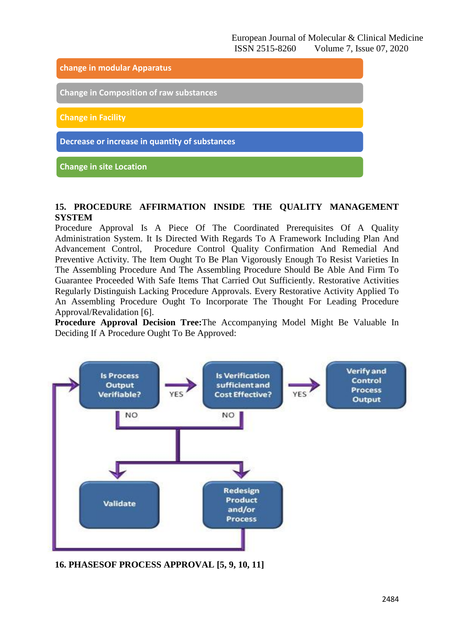

#### **15. PROCEDURE AFFIRMATION INSIDE THE QUALITY MANAGEMENT SYSTEM**

Procedure Approval Is A Piece Of The Coordinated Prerequisites Of A Quality Administration System. It Is Directed With Regards To A Framework Including Plan And Advancement Control, Procedure Control Quality Confirmation And Remedial And Preventive Activity. The Item Ought To Be Plan Vigorously Enough To Resist Varieties In The Assembling Procedure And The Assembling Procedure Should Be Able And Firm To Guarantee Proceeded With Safe Items That Carried Out Sufficiently. Restorative Activities Regularly Distinguish Lacking Procedure Approvals. Every Restorative Activity Applied To An Assembling Procedure Ought To Incorporate The Thought For Leading Procedure Approval/Revalidation [6].

**Procedure Approval Decision Tree:**The Accompanying Model Might Be Valuable In Deciding If A Procedure Ought To Be Approved:



**16. PHASESOF PROCESS APPROVAL [5, 9, 10, 11]**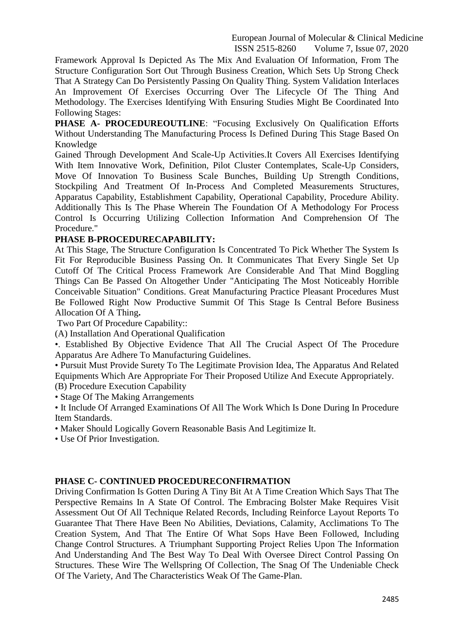Framework Approval Is Depicted As The Mix And Evaluation Of Information, From The Structure Configuration Sort Out Through Business Creation, Which Sets Up Strong Check That A Strategy Can Do Persistently Passing On Quality Thing. System Validation Interlaces An Improvement Of Exercises Occurring Over The Lifecycle Of The Thing And Methodology. The Exercises Identifying With Ensuring Studies Might Be Coordinated Into Following Stages:

**PHASE A- PROCEDUREOUTLINE**: "Focusing Exclusively On Qualification Efforts Without Understanding The Manufacturing Process Is Defined During This Stage Based On Knowledge

Gained Through Development And Scale-Up Activities.It Covers All Exercises Identifying With Item Innovative Work, Definition, Pilot Cluster Contemplates, Scale-Up Considers, Move Of Innovation To Business Scale Bunches, Building Up Strength Conditions, Stockpiling And Treatment Of In-Process And Completed Measurements Structures, Apparatus Capability, Establishment Capability, Operational Capability, Procedure Ability. Additionally This Is The Phase Wherein The Foundation Of A Methodology For Process Control Is Occurring Utilizing Collection Information And Comprehension Of The Procedure."

#### **PHASE B-PROCEDURECAPABILITY:**

At This Stage, The Structure Configuration Is Concentrated To Pick Whether The System Is Fit For Reproducible Business Passing On. It Communicates That Every Single Set Up Cutoff Of The Critical Process Framework Are Considerable And That Mind Boggling Things Can Be Passed On Altogether Under "Anticipating The Most Noticeably Horrible Conceivable Situation" Conditions. Great Manufacturing Practice Pleasant Procedures Must Be Followed Right Now Productive Summit Of This Stage Is Central Before Business Allocation Of A Thing**.**

Two Part Of Procedure Capability::

(A) Installation And Operational Qualification

•. Established By Objective Evidence That All The Crucial Aspect Of The Procedure Apparatus Are Adhere To Manufacturing Guidelines.

• Pursuit Must Provide Surety To The Legitimate Provision Idea, The Apparatus And Related Equipments Which Are Appropriate For Their Proposed Utilize And Execute Appropriately. (B) Procedure Execution Capability

• Stage Of The Making Arrangements

• It Include Of Arranged Examinations Of All The Work Which Is Done During In Procedure Item Standards.

• Maker Should Logically Govern Reasonable Basis And Legitimize It.

• Use Of Prior Investigation.

#### **PHASE C- CONTINUED PROCEDURECONFIRMATION**

Driving Confirmation Is Gotten During A Tiny Bit At A Time Creation Which Says That The Perspective Remains In A State Of Control. The Embracing Bolster Make Requires Visit Assessment Out Of All Technique Related Records, Including Reinforce Layout Reports To Guarantee That There Have Been No Abilities, Deviations, Calamity, Acclimations To The Creation System, And That The Entire Of What Sops Have Been Followed, Including Change Control Structures. A Triumphant Supporting Project Relies Upon The Information And Understanding And The Best Way To Deal With Oversee Direct Control Passing On Structures. These Wire The Wellspring Of Collection, The Snag Of The Undeniable Check Of The Variety, And The Characteristics Weak Of The Game-Plan.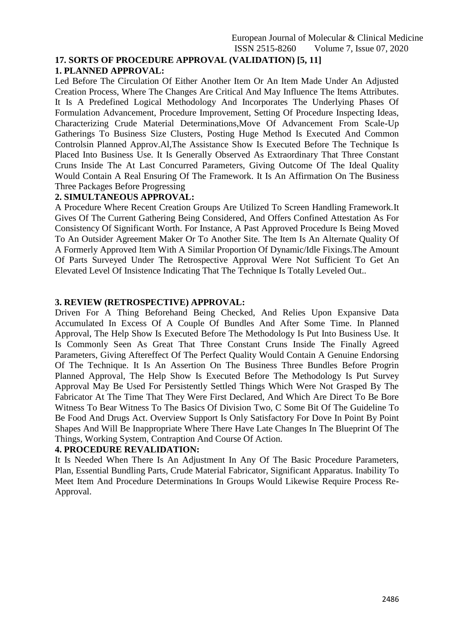#### **17. SORTS OF PROCEDURE APPROVAL (VALIDATION) [5, 11] 1. PLANNED APPROVAL:**

Led Before The Circulation Of Either Another Item Or An Item Made Under An Adjusted Creation Process, Where The Changes Are Critical And May Influence The Items Attributes. It Is A Predefined Logical Methodology And Incorporates The Underlying Phases Of Formulation Advancement, Procedure Improvement, Setting Of Procedure Inspecting Ideas, Characterizing Crude Material Determinations,Move Of Advancement From Scale-Up Gatherings To Business Size Clusters, Posting Huge Method Is Executed And Common Controlsin Planned Approv.Al,The Assistance Show Is Executed Before The Technique Is Placed Into Business Use. It Is Generally Observed As Extraordinary That Three Constant Cruns Inside The At Last Concurred Parameters, Giving Outcome Of The Ideal Quality Would Contain A Real Ensuring Of The Framework. It Is An Affirmation On The Business Three Packages Before Progressing

#### **2. SIMULTANEOUS APPROVAL:**

A Procedure Where Recent Creation Groups Are Utilized To Screen Handling Framework.It Gives Of The Current Gathering Being Considered, And Offers Confined Attestation As For Consistency Of Significant Worth. For Instance, A Past Approved Procedure Is Being Moved To An Outsider Agreement Maker Or To Another Site. The Item Is An Alternate Quality Of A Formerly Approved Item With A Similar Proportion Of Dynamic/Idle Fixings.The Amount Of Parts Surveyed Under The Retrospective Approval Were Not Sufficient To Get An Elevated Level Of Insistence Indicating That The Technique Is Totally Leveled Out..

#### **3. REVIEW (RETROSPECTIVE) APPROVAL:**

Driven For A Thing Beforehand Being Checked, And Relies Upon Expansive Data Accumulated In Excess Of A Couple Of Bundles And After Some Time. In Planned Approval, The Help Show Is Executed Before The Methodology Is Put Into Business Use. It Is Commonly Seen As Great That Three Constant Cruns Inside The Finally Agreed Parameters, Giving Aftereffect Of The Perfect Quality Would Contain A Genuine Endorsing Of The Technique. It Is An Assertion On The Business Three Bundles Before Progrin Planned Approval, The Help Show Is Executed Before The Methodology Is Put Survey Approval May Be Used For Persistently Settled Things Which Were Not Grasped By The Fabricator At The Time That They Were First Declared, And Which Are Direct To Be Bore Witness To Bear Witness To The Basics Of Division Two, C Some Bit Of The Guideline To Be Food And Drugs Act. Overview Support Is Only Satisfactory For Dove In Point By Point Shapes And Will Be Inappropriate Where There Have Late Changes In The Blueprint Of The Things, Working System, Contraption And Course Of Action.

#### **4. PROCEDURE REVALIDATION:**

It Is Needed When There Is An Adjustment In Any Of The Basic Procedure Parameters, Plan, Essential Bundling Parts, Crude Material Fabricator, Significant Apparatus. Inability To Meet Item And Procedure Determinations In Groups Would Likewise Require Process Re-Approval.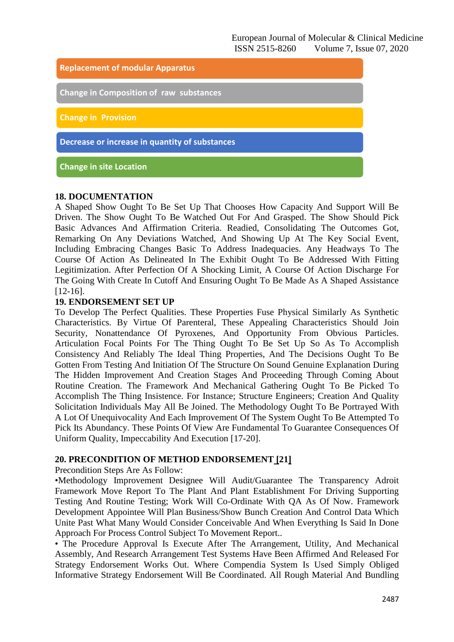

#### **18. DOCUMENTATION**

A Shaped Show Ought To Be Set Up That Chooses How Capacity And Support Will Be Driven. The Show Ought To Be Watched Out For And Grasped. The Show Should Pick Basic Advances And Affirmation Criteria. Readied, Consolidating The Outcomes Got, Remarking On Any Deviations Watched, And Showing Up At The Key Social Event, Including Embracing Changes Basic To Address Inadequacies. Any Headways To The Course Of Action As Delineated In The Exhibit Ought To Be Addressed With Fitting Legitimization. After Perfection Of A Shocking Limit, A Course Of Action Discharge For The Going With Create In Cutoff And Ensuring Ought To Be Made As A Shaped Assistance [12-16].

#### **19. ENDORSEMENT SET UP**

To Develop The Perfect Qualities. These Properties Fuse Physical Similarly As Synthetic Characteristics. By Virtue Of Parenteral, These Appealing Characteristics Should Join Security, Nonattendance Of Pyroxenes, And Opportunity From Obvious Particles. Articulation Focal Points For The Thing Ought To Be Set Up So As To Accomplish Consistency And Reliably The Ideal Thing Properties, And The Decisions Ought To Be Gotten From Testing And Initiation Of The Structure On Sound Genuine Explanation During The Hidden Improvement And Creation Stages And Proceeding Through Coming About Routine Creation. The Framework And Mechanical Gathering Ought To Be Picked To Accomplish The Thing Insistence. For Instance; Structure Engineers; Creation And Quality Solicitation Individuals May All Be Joined. The Methodology Ought To Be Portrayed With A Lot Of Unequivocality And Each Improvement Of The System Ought To Be Attempted To Pick Its Abundancy. These Points Of View Are Fundamental To Guarantee Consequences Of Uniform Quality, Impeccability And Execution [17-20].

#### **20. PRECONDITION OF METHOD ENDORSEMENT [21]**

Precondition Steps Are As Follow:

•Methodology Improvement Designee Will Audit/Guarantee The Transparency Adroit Framework Move Report To The Plant And Plant Establishment For Driving Supporting Testing And Routine Testing; Work Will Co-Ordinate With QA As Of Now. Framework Development Appointee Will Plan Business/Show Bunch Creation And Control Data Which Unite Past What Many Would Consider Conceivable And When Everything Is Said In Done Approach For Process Control Subject To Movement Report..

• The Procedure Approval Is Execute After The Arrangement, Utility, And Mechanical Assembly, And Research Arrangement Test Systems Have Been Affirmed And Released For Strategy Endorsement Works Out. Where Compendia System Is Used Simply Obliged Informative Strategy Endorsement Will Be Coordinated. All Rough Material And Bundling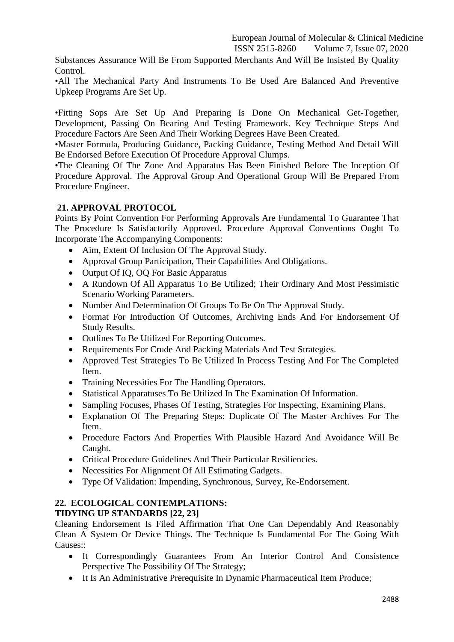Substances Assurance Will Be From Supported Merchants And Will Be Insisted By Quality Control.

•All The Mechanical Party And Instruments To Be Used Are Balanced And Preventive Upkeep Programs Are Set Up.

•Fitting Sops Are Set Up And Preparing Is Done On Mechanical Get-Together, Development, Passing On Bearing And Testing Framework. Key Technique Steps And Procedure Factors Are Seen And Their Working Degrees Have Been Created.

•Master Formula, Producing Guidance, Packing Guidance, Testing Method And Detail Will Be Endorsed Before Execution Of Procedure Approval Clumps.

•The Cleaning Of The Zone And Apparatus Has Been Finished Before The Inception Of Procedure Approval. The Approval Group And Operational Group Will Be Prepared From Procedure Engineer.

## **21. APPROVAL PROTOCOL**

Points By Point Convention For Performing Approvals Are Fundamental To Guarantee That The Procedure Is Satisfactorily Approved. Procedure Approval Conventions Ought To Incorporate The Accompanying Components:

- Aim, Extent Of Inclusion Of The Approval Study.
- Approval Group Participation, Their Capabilities And Obligations.
- Output Of IO, OO For Basic Apparatus
- A Rundown Of All Apparatus To Be Utilized; Their Ordinary And Most Pessimistic Scenario Working Parameters.
- Number And Determination Of Groups To Be On The Approval Study.
- Format For Introduction Of Outcomes, Archiving Ends And For Endorsement Of Study Results.
- Outlines To Be Utilized For Reporting Outcomes.
- Requirements For Crude And Packing Materials And Test Strategies.
- Approved Test Strategies To Be Utilized In Process Testing And For The Completed Item.
- Training Necessities For The Handling Operators.
- Statistical Apparatuses To Be Utilized In The Examination Of Information.
- Sampling Focuses, Phases Of Testing, Strategies For Inspecting, Examining Plans.
- Explanation Of The Preparing Steps: Duplicate Of The Master Archives For The Item.
- Procedure Factors And Properties With Plausible Hazard And Avoidance Will Be Caught.
- Critical Procedure Guidelines And Their Particular Resiliencies.
- Necessities For Alignment Of All Estimating Gadgets.
- Type Of Validation: Impending, Synchronous, Survey, Re-Endorsement.

# **22. ECOLOGICAL CONTEMPLATIONS:**

## **TIDYING UP STANDARDS [22, 23]**

Cleaning Endorsement Is Filed Affirmation That One Can Dependably And Reasonably Clean A System Or Device Things. The Technique Is Fundamental For The Going With Causes::

- It Correspondingly Guarantees From An Interior Control And Consistence Perspective The Possibility Of The Strategy;
- It Is An Administrative Prerequisite In Dynamic Pharmaceutical Item Produce;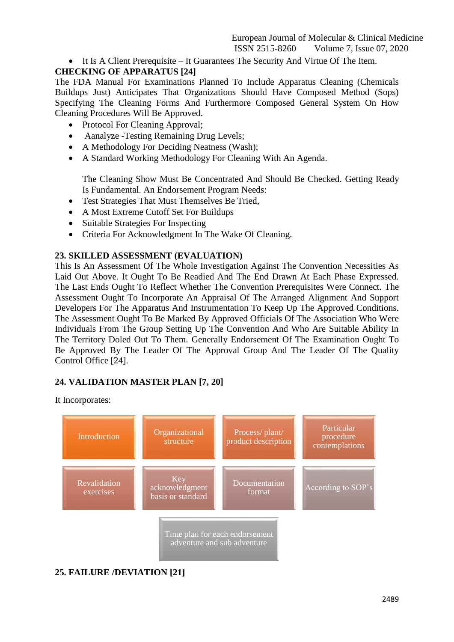It Is A Client Prerequisite – It Guarantees The Security And Virtue Of The Item.

# **CHECKING OF APPARATUS [24]**

The FDA Manual For Examinations Planned To Include Apparatus Cleaning (Chemicals Buildups Just) Anticipates That Organizations Should Have Composed Method (Sops) Specifying The Cleaning Forms And Furthermore Composed General System On How Cleaning Procedures Will Be Approved.

- Protocol For Cleaning Approval;
- Aanalyze -Testing Remaining Drug Levels;
- A Methodology For Deciding Neatness (Wash);
- A Standard Working Methodology For Cleaning With An Agenda.

The Cleaning Show Must Be Concentrated And Should Be Checked. Getting Ready Is Fundamental. An Endorsement Program Needs:

- Test Strategies That Must Themselves Be Tried,
- A Most Extreme Cutoff Set For Buildups
- Suitable Strategies For Inspecting
- Criteria For Acknowledgment In The Wake Of Cleaning.

## **23. SKILLED ASSESSMENT (EVALUATION)**

This Is An Assessment Of The Whole Investigation Against The Convention Necessities As Laid Out Above. It Ought To Be Readied And The End Drawn At Each Phase Expressed. The Last Ends Ought To Reflect Whether The Convention Prerequisites Were Connect. The Assessment Ought To Incorporate An Appraisal Of The Arranged Alignment And Support Developers For The Apparatus And Instrumentation To Keep Up The Approved Conditions. The Assessment Ought To Be Marked By Approved Officials Of The Association Who Were Individuals From The Group Setting Up The Convention And Who Are Suitable Ability In The Territory Doled Out To Them. Generally Endorsement Of The Examination Ought To Be Approved By The Leader Of The Approval Group And The Leader Of The Quality Control Office [24].

# **24. VALIDATION MASTER PLAN [7, 20]**

It Incorporates:



# **25. FAILURE /DEVIATION [21]**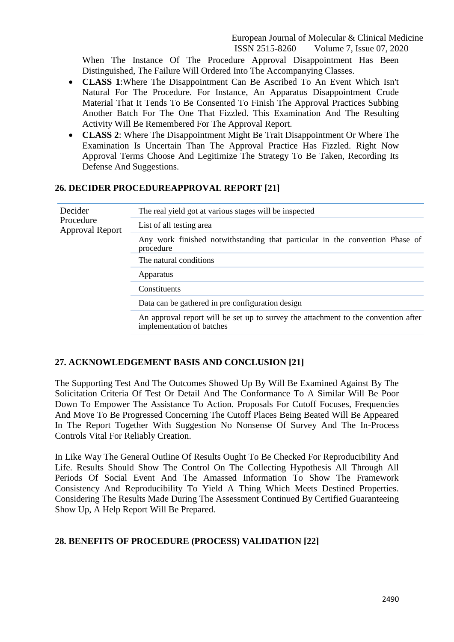When The Instance Of The Procedure Approval Disappointment Has Been Distinguished, The Failure Will Ordered Into The Accompanying Classes.

- **CLASS 1**:Where The Disappointment Can Be Ascribed To An Event Which Isn't Natural For The Procedure. For Instance, An Apparatus Disappointment Crude Material That It Tends To Be Consented To Finish The Approval Practices Subbing Another Batch For The One That Fizzled. This Examination And The Resulting Activity Will Be Remembered For The Approval Report.
- **CLASS 2**: Where The Disappointment Might Be Trait Disappointment Or Where The Examination Is Uncertain Than The Approval Practice Has Fizzled. Right Now Approval Terms Choose And Legitimize The Strategy To Be Taken, Recording Its Defense And Suggestions.

#### **26. DECIDER PROCEDUREAPPROVAL REPORT [21]**

| Decider<br>Procedure<br>Approval Report | The real yield got at various stages will be inspected                                                          |
|-----------------------------------------|-----------------------------------------------------------------------------------------------------------------|
|                                         | List of all testing area                                                                                        |
|                                         | Any work finished notwithstanding that particular in the convention Phase of<br>procedure                       |
|                                         | The natural conditions                                                                                          |
|                                         | Apparatus                                                                                                       |
|                                         | Constituents                                                                                                    |
|                                         | Data can be gathered in pre configuration design                                                                |
|                                         | An approval report will be set up to survey the attachment to the convention after<br>implementation of batches |

#### **27. ACKNOWLEDGEMENT BASIS AND CONCLUSION [21]**

The Supporting Test And The Outcomes Showed Up By Will Be Examined Against By The Solicitation Criteria Of Test Or Detail And The Conformance To A Similar Will Be Poor Down To Empower The Assistance To Action. Proposals For Cutoff Focuses, Frequencies And Move To Be Progressed Concerning The Cutoff Places Being Beated Will Be Appeared In The Report Together With Suggestion No Nonsense Of Survey And The In-Process Controls Vital For Reliably Creation.

In Like Way The General Outline Of Results Ought To Be Checked For Reproducibility And Life. Results Should Show The Control On The Collecting Hypothesis All Through All Periods Of Social Event And The Amassed Information To Show The Framework Consistency And Reproducibility To Yield A Thing Which Meets Destined Properties. Considering The Results Made During The Assessment Continued By Certified Guaranteeing Show Up, A Help Report Will Be Prepared.

#### **28. BENEFITS OF PROCEDURE (PROCESS) VALIDATION [22]**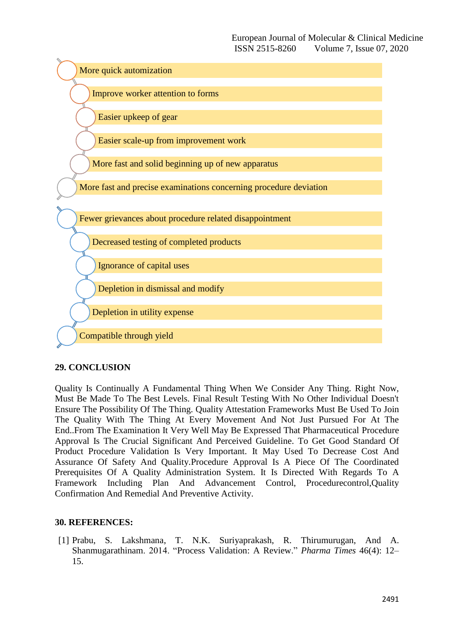

## **29. CONCLUSION**

Quality Is Continually A Fundamental Thing When We Consider Any Thing. Right Now, Must Be Made To The Best Levels. Final Result Testing With No Other Individual Doesn't Ensure The Possibility Of The Thing. Quality Attestation Frameworks Must Be Used To Join The Quality With The Thing At Every Movement And Not Just Pursued For At The End..From The Examination It Very Well May Be Expressed That Pharmaceutical Procedure Approval Is The Crucial Significant And Perceived Guideline. To Get Good Standard Of Product Procedure Validation Is Very Important. It May Used To Decrease Cost And Assurance Of Safety And Quality.Procedure Approval Is A Piece Of The Coordinated Prerequisites Of A Quality Administration System. It Is Directed With Regards To A Framework Including Plan And Advancement Control, Procedurecontrol,Quality Confirmation And Remedial And Preventive Activity.

## **30. REFERENCES:**

[1] Prabu, S. Lakshmana, T. N.K. Suriyaprakash, R. Thirumurugan, And A. Shanmugarathinam. 2014. "Process Validation: A Review." *Pharma Times* 46(4): 12– 15.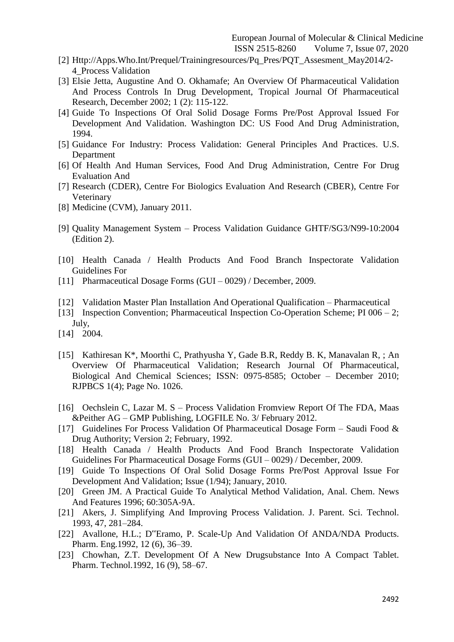- [2] Http://Apps.Who.Int/Prequel/Trainingresources/Pq\_Pres/PQT\_Assesment\_May2014/2- 4\_Process Validation
- [3] Elsie Jetta, Augustine And O. Okhamafe; An Overview Of Pharmaceutical Validation And Process Controls In Drug Development, Tropical Journal Of Pharmaceutical Research, December 2002; 1 (2): 115-122.
- [4] Guide To Inspections Of Oral Solid Dosage Forms Pre/Post Approval Issued For Development And Validation. Washington DC: US Food And Drug Administration, 1994.
- [5] Guidance For Industry: Process Validation: General Principles And Practices. U.S. Department
- [6] Of Health And Human Services, Food And Drug Administration, Centre For Drug Evaluation And
- [7] Research (CDER), Centre For Biologics Evaluation And Research (CBER), Centre For Veterinary
- [8] Medicine (CVM), January 2011.
- [9] Quality Management System Process Validation Guidance GHTF/SG3/N99-10:2004 (Edition 2).
- [10] Health Canada / Health Products And Food Branch Inspectorate Validation Guidelines For
- [11] Pharmaceutical Dosage Forms (GUI 0029) / December, 2009.
- [12] Validation Master Plan Installation And Operational Qualification Pharmaceutical
- [13] Inspection Convention; Pharmaceutical Inspection Co-Operation Scheme; PI 006 2; July,
- [14] 2004.
- [15] Kathiresan K\*, Moorthi C, Prathyusha Y, Gade B.R, Reddy B. K, Manavalan R, ; An Overview Of Pharmaceutical Validation; Research Journal Of Pharmaceutical, Biological And Chemical Sciences; ISSN: 0975-8585; October – December 2010; RJPBCS 1(4); Page No. 1026.
- [16] Oechslein C, Lazar M. S Process Validation Fromview Report Of The FDA, Maas &Peither AG – GMP Publishing, LOGFILE No. 3/ February 2012.
- [17] Guidelines For Process Validation Of Pharmaceutical Dosage Form Saudi Food & Drug Authority; Version 2; February, 1992.
- [18] Health Canada / Health Products And Food Branch Inspectorate Validation Guidelines For Pharmaceutical Dosage Forms (GUI – 0029) / December, 2009.
- [19] Guide To Inspections Of Oral Solid Dosage Forms Pre/Post Approval Issue For Development And Validation; Issue (1/94); January, 2010.
- [20] Green JM. A Practical Guide To Analytical Method Validation, Anal. Chem. News And Features 1996; 60:305A-9A.
- [21] Akers, J. Simplifying And Improving Process Validation. J. Parent. Sci. Technol. 1993, 47, 281–284.
- [22] Avallone, H.L.; D"Eramo, P. Scale-Up And Validation Of ANDA/NDA Products. Pharm. Eng.1992, 12 (6), 36–39.
- [23] Chowhan, Z.T. Development Of A New Drugsubstance Into A Compact Tablet. Pharm. Technol.1992, 16 (9), 58–67.